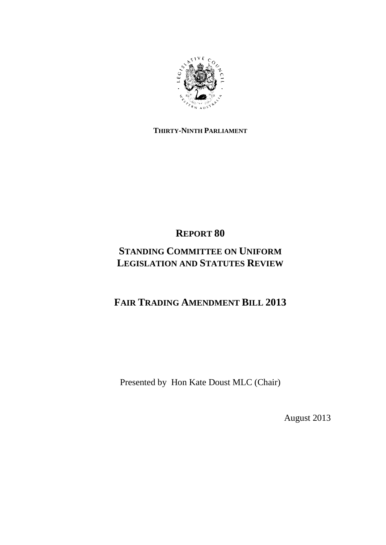

### **THIRTY-NINTH PARLIAMENT**

# **REPORT 80**

# **STANDING COMMITTEE ON UNIFORM LEGISLATION AND STATUTES REVIEW**

# **FAIR TRADING AMENDMENT BILL 2013**

Presented by Hon Kate Doust MLC (Chair)

August 2013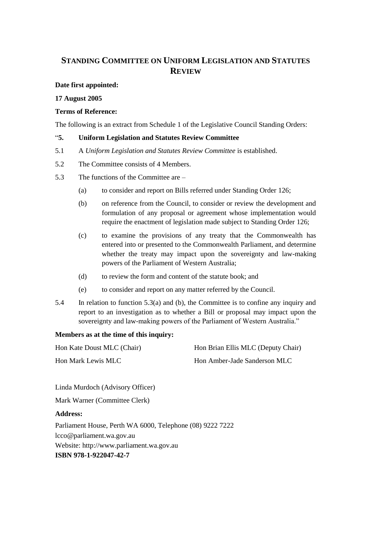### **STANDING COMMITTEE ON UNIFORM LEGISLATION AND STATUTES REVIEW**

#### **Date first appointed:**

#### **17 August 2005**

#### **Terms of Reference:**

The following is an extract from Schedule 1 of the Legislative Council Standing Orders:

#### "**5. Uniform Legislation and Statutes Review Committee**

- 5.1 A *Uniform Legislation and Statutes Review Committee* is established.
- 5.2 The Committee consists of 4 Members.
- 5.3 The functions of the Committee are
	- (a) to consider and report on Bills referred under Standing Order 126;
	- (b) on reference from the Council, to consider or review the development and formulation of any proposal or agreement whose implementation would require the enactment of legislation made subject to Standing Order 126;
	- (c) to examine the provisions of any treaty that the Commonwealth has entered into or presented to the Commonwealth Parliament, and determine whether the treaty may impact upon the sovereignty and law-making powers of the Parliament of Western Australia;
	- (d) to review the form and content of the statute book; and
	- (e) to consider and report on any matter referred by the Council.
- 5.4 In relation to function 5.3(a) and (b), the Committee is to confine any inquiry and report to an investigation as to whether a Bill or proposal may impact upon the sovereignty and law-making powers of the Parliament of Western Australia."

### **Members as at the time of this inquiry:**

| Hon Kate Doust MLC (Chair) | Hon Brian Ellis MLC (Deputy Chair) |
|----------------------------|------------------------------------|
| Hon Mark Lewis MLC         | Hon Amber-Jade Sanderson MLC       |

Linda Murdoch (Advisory Officer)

Mark Warner (Committee Clerk)

### **Address:**

Parliament House, Perth WA 6000, Telephone (08) 9222 7222 lcco@parliament.wa.gov.au Website: http://www.parliament.wa.gov.au **ISBN 978-1-922047-42-7**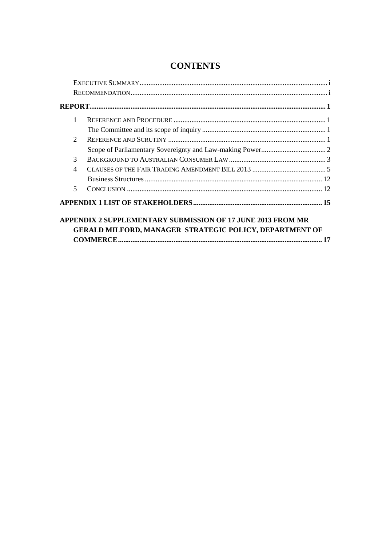| 1                           |  |
|-----------------------------|--|
|                             |  |
| $\mathcal{D}_{\mathcal{L}}$ |  |
|                             |  |
| 3                           |  |
| $\overline{4}$              |  |
|                             |  |
| 5                           |  |
|                             |  |

### **CONTENTS**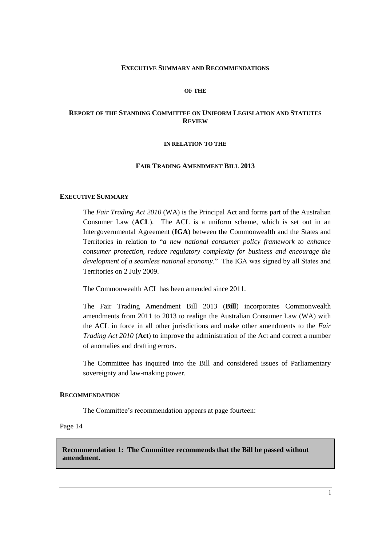#### **EXECUTIVE SUMMARY AND RECOMMENDATIONS**

#### **OF THE**

#### **REPORT OF THE STANDING COMMITTEE ON UNIFORM LEGISLATION AND STATUTES REVIEW**

#### **IN RELATION TO THE**

#### **FAIR TRADING AMENDMENT BILL 2013**

#### **EXECUTIVE SUMMARY**

The *Fair Trading Act 2010* (WA) is the Principal Act and forms part of the Australian Consumer Law (**ACL**). The ACL is a uniform scheme, which is set out in an Intergovernmental Agreement (**IGA**) between the Commonwealth and the States and Territories in relation to "*a new national consumer policy framework to enhance consumer protection, reduce regulatory complexity for business and encourage the development of a seamless national economy*." The IGA was signed by all States and Territories on 2 July 2009.

The Commonwealth ACL has been amended since 2011.

The Fair Trading Amendment Bill 2013 (**Bill**) incorporates Commonwealth amendments from 2011 to 2013 to realign the Australian Consumer Law (WA) with the ACL in force in all other jurisdictions and make other amendments to the *Fair Trading Act 2010* (**Act**) to improve the administration of the Act and correct a number of anomalies and drafting errors.

The Committee has inquired into the Bill and considered issues of Parliamentary sovereignty and law-making power.

#### **RECOMMENDATION**

The Committee's recommendation appears at page fourteen:

Page 14

**Recommendation 1: The Committee recommends that the Bill be passed without amendment.**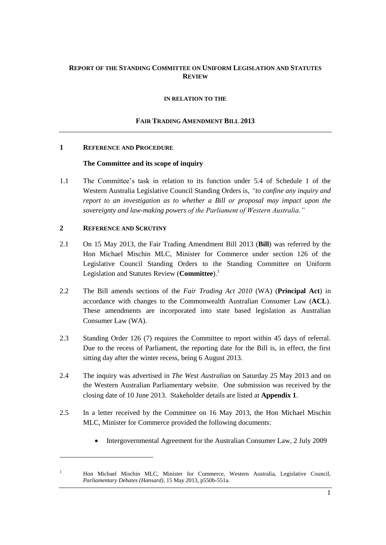### **REPORT OF THE STANDING COMMITTEE ON UNIFORM LEGISLATION AND STATUTES REVIEW**

#### **IN RELATION TO THE**

#### **FAIR TRADING AMENDMENT BILL 2013**

#### **1 REFERENCE AND PROCEDURE**

#### **The Committee and its scope of inquiry**

1.1 The Committee's task in relation to its function under 5.4 of Schedule 1 of the Western Australia Legislative Council Standing Orders is, *"to confine any inquiry and report to an investigation as to whether a Bill or proposal may impact upon the sovereignty and law-making powers of the Parliament of Western Australia."*

#### **2 REFERENCE AND SCRUTINY**

- 2.1 On 15 May 2013, the Fair Trading Amendment Bill 2013 (**Bill**) was referred by the Hon Michael Mischin MLC, Minister for Commerce under section 126 of the Legislative Council Standing Orders to the Standing Committee on Uniform Legislation and Statutes Review (**Committee**).<sup>1</sup>
- 2.2 The Bill amends sections of the *Fair Trading Act 2010* (WA) (**Principal Act**) in accordance with changes to the Commonwealth Australian Consumer Law (**ACL**). These amendments are incorporated into state based legislation as Australian Consumer Law (WA).
- 2.3 Standing Order 126 (7) requires the Committee to report within 45 days of referral. Due to the recess of Parliament, the reporting date for the Bill is, in effect, the first sitting day after the winter recess, being 6 August 2013.
- 2.4 The inquiry was advertised in *The West Australian* on Saturday 25 May 2013 and on the Western Australian Parliamentary website. One submission was received by the closing date of 10 June 2013. Stakeholder details are listed at **Appendix 1**.
- 2.5 In a letter received by the Committee on 16 May 2013, the Hon Michael Mischin MLC, Minister for Commerce provided the following documents:
	- Intergovernmental Agreement for the Australian Consumer Law, 2 July 2009

<sup>1</sup> Hon Michael Mischin MLC, Minister for Commerce, Western Australia, Legislative Council, *Parliamentary Debates (Hansard),* 15 May 2013, p550b-551a.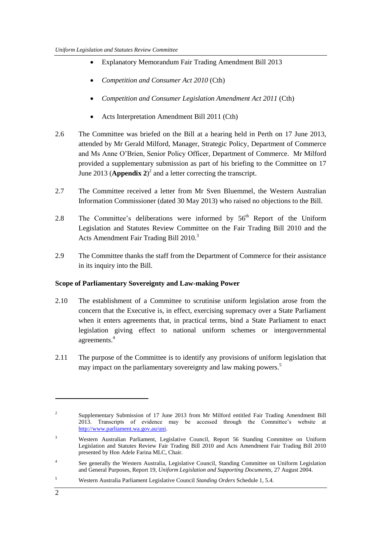- Explanatory Memorandum Fair Trading Amendment Bill 2013
- *Competition and Consumer Act 2010* (Cth)
- *Competition and Consumer Legislation Amendment Act 2011* (Cth)
- Acts Interpretation Amendment Bill 2011 (Cth)
- 2.6 The Committee was briefed on the Bill at a hearing held in Perth on 17 June 2013, attended by Mr Gerald Milford, Manager, Strategic Policy, Department of Commerce and Ms Anne O'Brien, Senior Policy Officer, Department of Commerce. Mr Milford provided a supplementary submission as part of his briefing to the Committee on 17 June 2013 (**Appendix 2**) 2 and a letter correcting the transcript.
- 2.7 The Committee received a letter from Mr Sven Bluemmel, the Western Australian Information Commissioner (dated 30 May 2013) who raised no objections to the Bill.
- 2.8 The Committee's deliberations were informed by  $56<sup>th</sup>$  Report of the Uniform Legislation and Statutes Review Committee on the Fair Trading Bill 2010 and the Acts Amendment Fair Trading Bill 2010*.* 3
- 2.9 The Committee thanks the staff from the Department of Commerce for their assistance in its inquiry into the Bill.

### **Scope of Parliamentary Sovereignty and Law-making Power**

- 2.10 The establishment of a Committee to scrutinise uniform legislation arose from the concern that the Executive is, in effect, exercising supremacy over a State Parliament when it enters agreements that, in practical terms, bind a State Parliament to enact legislation giving effect to national uniform schemes or intergovernmental agreements. 4
- 2.11 The purpose of the Committee is to identify any provisions of uniform legislation that may impact on the parliamentary sovereignty and law making powers.<sup>5</sup>

**.** 

<sup>2</sup> Supplementary Submission of 17 June 2013 from Mr Milford entitled Fair Trading Amendment Bill 2013. Transcripts of evidence may be accessed through the Committee's website at [http://www.parliament.wa.gov.au/uni.](http://www.parliament.wa.gov.au/uni)

<sup>&</sup>lt;sup>3</sup> Western Australian Parliament, Legislative Council, Report 56 Standing Committee on Uniform Legislation and Statutes Review Fair Trading Bill 2010 and Acts Amendment Fair Trading Bill 2010 presented by Hon Adele Farina MLC, Chair.

<sup>4</sup> See generally the Western Australia, Legislative Council, Standing Committee on Uniform Legislation and General Purposes, Report 19, *Uniform Legislation and Supporting Documents,* 27 August 2004.

<sup>5</sup> Western Australia Parliament Legislative Council *Standing Orders* Schedule 1, 5.4.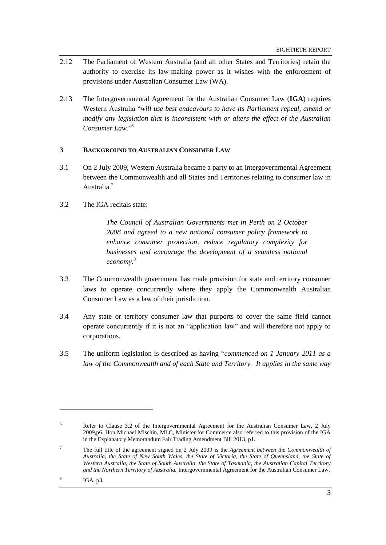- 2.12 The Parliament of Western Australia (and all other States and Territories) retain the authority to exercise its law-making power as it wishes with the enforcement of provisions under Australian Consumer Law (WA).
- 2.13 The Intergovernmental Agreement for the Australian Consumer Law (**IGA**) requires Western Australia "*will use best endeavours to have its Parliament repeal, amend or modify any legislation that is inconsistent with or alters the effect of the Australian Consumer Law.*" 6

#### **3 BACKGROUND TO AUSTRALIAN CONSUMER LAW**

- 3.1 On 2 July 2009, Western Australia became a party to an Intergovernmental Agreement between the Commonwealth and all States and Territories relating to consumer law in Australia.<sup>7</sup>
- 3.2 The IGA recitals state:

*The Council of Australian Governments met in Perth on 2 October 2008 and agreed to a new national consumer policy framework to enhance consumer protection, reduce regulatory complexity for businesses and encourage the development of a seamless national economy.* 8

- 3.3 The Commonwealth government has made provision for state and territory consumer laws to operate concurrently where they apply the Commonwealth Australian Consumer Law as a law of their jurisdiction.
- 3.4 Any state or territory consumer law that purports to cover the same field cannot operate concurrently if it is not an "application law" and will therefore not apply to corporations.
- 3.5 The uniform legislation is described as having "*commenced on 1 January 2011 as a law of the Commonwealth and of each State and Territory. It applies in the same way*

<sup>6</sup> Refer to Clause 3.2 of the Intergovernmental Agreement for the Australian Consumer Law, 2 July 2009,p6. Hon Michael Mischin, MLC, Minister for Commerce also referred to this provision of the IGA in the Explanatory Memorandum Fair Trading Amendment Bill 2013, p1.

<sup>7</sup> The full title of the agreement signed on 2 July 2009 is the *Agreement between the Commonwealth of Australia, the State of New South Wales, the State of Victoria, the State of Queensland, the State of Western Australia, the State of South Australia, the State of Tasmania, the Australian Capital Territory and the Northern Territory of Australia.* Intergovernmental Agreement for the Australian Consumer Law.

<sup>8</sup> IGA, p3*.*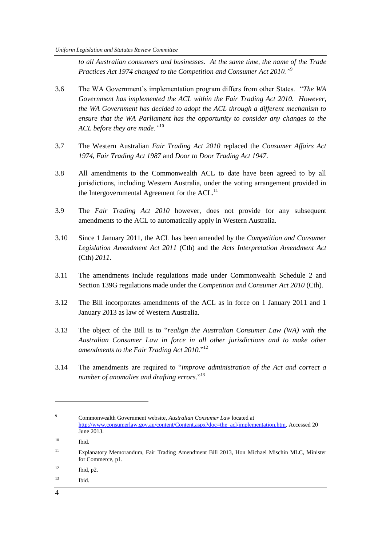*to all Australian consumers and businesses. At the same time, the name of the Trade Practices Act 1974 changed to the Competition and Consumer Act 2010."*<sup>9</sup>

- 3.6 The WA Government's implementation program differs from other States. "*The WA Government has implemented the ACL within the Fair Trading Act 2010. However, the WA Government has decided to adopt the ACL through a different mechanism to ensure that the WA Parliament has the opportunity to consider any changes to the ACL before they are made."*<sup>10</sup>
- 3.7 The Western Australian *Fair Trading Act 2010* replaced the *Consumer Affairs Act 1974*, *Fair Trading Act 1987* and *Door to Door Trading Act 1947*.
- 3.8 All amendments to the Commonwealth ACL to date have been agreed to by all jurisdictions, including Western Australia, under the voting arrangement provided in the Intergovernmental Agreement for the ACL.<sup>11</sup>
- 3.9 The *Fair Trading Act 2010* however, does not provide for any subsequent amendments to the ACL to automatically apply in Western Australia.
- 3.10 Since 1 January 2011, the ACL has been amended by the *Competition and Consumer Legislation Amendment Act 2011* (Cth) and the *Acts Interpretation Amendment Act*  (Cth) *2011*.
- 3.11 The amendments include regulations made under Commonwealth Schedule 2 and Section 139G regulations made under the *Competition and Consumer Act 2010* (Cth).
- 3.12 The Bill incorporates amendments of the ACL as in force on 1 January 2011 and 1 January 2013 as law of Western Australia.
- 3.13 The object of the Bill is to "*realign the Australian Consumer Law (WA) with the Australian Consumer Law in force in all other jurisdictions and to make other amendments to the Fair Trading Act 2010.*" 12
- 3.14 The amendments are required to "*improve administration of the Act and correct a number of anomalies and drafting errors*."<sup>13</sup>

<sup>13</sup> Ibid.

1

<sup>9</sup> Commonwealth Government website, *Australian Consumer Law* located at [http://www.consumerlaw.gov.au/content/Content.aspx?doc=the\\_acl/implementation.htm.](http://www.consumerlaw.gov.au/content/Content.aspx?doc=the_acl/implementation.htm) Accessed 20 June 2013.

<sup>10</sup> Ibid.

<sup>11</sup> Explanatory Memorandum, Fair Trading Amendment Bill 2013, Hon Michael Mischin MLC, Minister for Commerce, p1.

 $12$  Ibid, p2.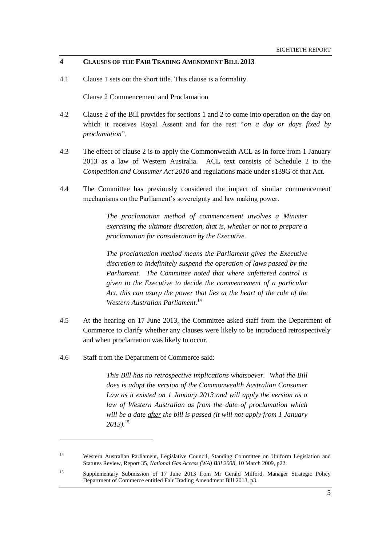#### **4 CLAUSES OF THE FAIR TRADING AMENDMENT BILL 2013**

4.1 Clause 1 sets out the short title. This clause is a formality.

Clause 2 Commencement and Proclamation

- 4.2 Clause 2 of the Bill provides for sections 1 and 2 to come into operation on the day on which it receives Royal Assent and for the rest "*on a day or days fixed by proclamation*".
- 4.3 The effect of clause 2 is to apply the Commonwealth ACL as in force from 1 January 2013 as a law of Western Australia. ACL text consists of Schedule 2 to the *Competition and Consumer Act 2010* and regulations made under s139G of that Act.
- 4.4 The Committee has previously considered the impact of similar commencement mechanisms on the Parliament's sovereignty and law making power.

*The proclamation method of commencement involves a Minister exercising the ultimate discretion, that is, whether or not to prepare a proclamation for consideration by the Executive.*

*The proclamation method means the Parliament gives the Executive discretion to indefinitely suspend the operation of laws passed by the Parliament. The Committee noted that where unfettered control is given to the Executive to decide the commencement of a particular Act, this can usurp the power that lies at the heart of the role of the Western Australian Parliament.*<sup>14</sup>

- 4.5 At the hearing on 17 June 2013, the Committee asked staff from the Department of Commerce to clarify whether any clauses were likely to be introduced retrospectively and when proclamation was likely to occur.
- 4.6 Staff from the Department of Commerce said:

 $\overline{a}$ 

*This Bill has no retrospective implications whatsoever. What the Bill does is adopt the version of the Commonwealth Australian Consumer Law as it existed on 1 January 2013 and will apply the version as a law of Western Australian as from the date of proclamation which will be a date after the bill is passed (it will not apply from 1 January 2013).* 15

<sup>14</sup> Western Australian Parliament, Legislative Council, Standing Committee on Uniform Legislation and Statutes Review, Report 35, *National Gas Access (WA) Bill 2008*, 10 March 2009, p22.

<sup>&</sup>lt;sup>15</sup> Supplementary Submission of 17 June 2013 from Mr Gerald Milford, Manager Strategic Policy Department of Commerce entitled Fair Trading Amendment Bill 2013, p3.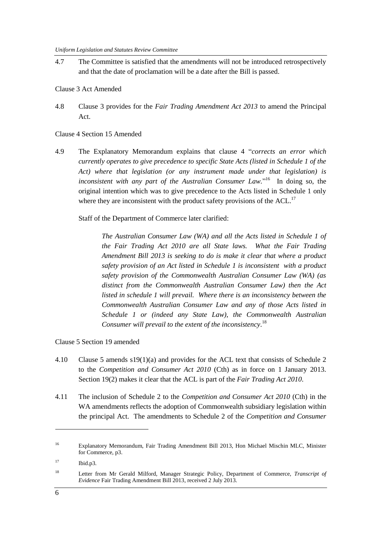4.7 The Committee is satisfied that the amendments will not be introduced retrospectively and that the date of proclamation will be a date after the Bill is passed.

Clause 3 Act Amended

4.8 Clause 3 provides for the *Fair Trading Amendment Act 2013* to amend the Principal Act.

Clause 4 Section 15 Amended

4.9 The Explanatory Memorandum explains that clause 4 "*corrects an error which currently operates to give precedence to specific State Acts (listed in Schedule 1 of the Act) where that legislation (or any instrument made under that legislation) is inconsistent with any part of the Australian Consumer Law.*" 16 In doing so, the original intention which was to give precedence to the Acts listed in Schedule 1 only where they are inconsistent with the product safety provisions of the ACL.<sup>17</sup>

Staff of the Department of Commerce later clarified:

*The Australian Consumer Law (WA) and all the Acts listed in Schedule 1 of the Fair Trading Act 2010 are all State laws. What the Fair Trading Amendment Bill 2013 is seeking to do is make it clear that where a product safety provision of an Act listed in Schedule 1 is inconsistent with a product safety provision of the Commonwealth Australian Consumer Law (WA) (as distinct from the Commonwealth Australian Consumer Law) then the Act listed in schedule 1 will prevail. Where there is an inconsistency between the Commonwealth Australian Consumer Law and any of those Acts listed in Schedule 1 or (indeed any State Law), the Commonwealth Australian Consumer will prevail to the extent of the inconsistency*. 18

Clause 5 Section 19 amended

- 4.10 Clause 5 amends s19(1)(a) and provides for the ACL text that consists of Schedule 2 to the *Competition and Consumer Act 2010* (Cth) as in force on 1 January 2013. Section 19(2) makes it clear that the ACL is part of the *Fair Trading Act 2010*.
- 4.11 The inclusion of Schedule 2 to the *Competition and Consumer Act 2010* (Cth) in the WA amendments reflects the adoption of Commonwealth subsidiary legislation within the principal Act. The amendments to Schedule 2 of the *Competition and Consumer*

1

<sup>16</sup> Explanatory Memorandum, Fair Trading Amendment Bill 2013*,* Hon Michael Mischin MLC, Minister for Commerce, p3.

<sup>17</sup> Ibid.p3.

<sup>18</sup> Letter from Mr Gerald Milford, Manager Strategic Policy, Department of Commerce, *Transcript of Evidence* Fair Trading Amendment Bill 2013, received 2 July 2013.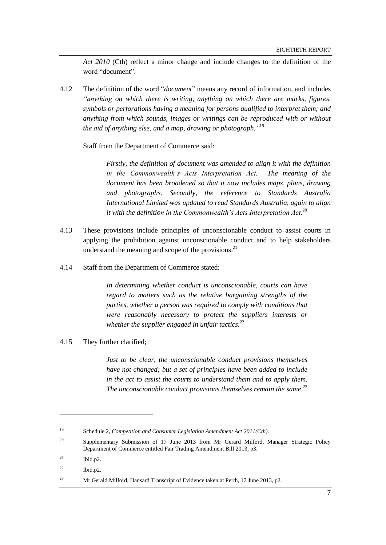*Act 2010* (Cth) reflect a minor change and include changes to the definition of the word "document".

4.12 The definition of the word "*document*" means any record of information, and includes *"anything on which there is writing, anything on which there are marks, figures, symbols or perforations having a meaning for persons qualified to interpret them; and anything from which sounds, images or writings can be reproduced with or without the aid of anything else, and a map, drawing or photograph."* 19

Staff from the Department of Commerce said:

*Firstly, the definition of document was amended to align it with the definition in the Commonwealth's Acts Interpretation Act. The meaning of the document has been broadened so that it now includes maps, plans, drawing and photographs. Secondly, the reference to Standards Australia International Limited was updated to read Standards Australia, again to align it with the definition in the Commonwealth's Acts Interpretation Act*. 20

- 4.13 These provisions include principles of unconscionable conduct to assist courts in applying the prohibition against unconscionable conduct and to help stakeholders understand the meaning and scope of the provisions. $^{21}$
- 4.14 Staff from the Department of Commerce stated:

*In determining whether conduct is unconscionable, courts can have regard to matters such as the relative bargaining strengths of the parties, whether a person was required to comply with conditions that were reasonably necessary to protect the suppliers interests or whether the supplier engaged in unfair tactics.*<sup>22</sup>

4.15 They further clarified;

*Just to be clear, the unconscionable conduct provisions themselves have not changed; but a set of principles have been added to include in the act to assist the courts to understand them and to apply them. The unconscionable conduct provisions themselves remain the same.* 23

<sup>19</sup> Schedule 2, *Competition and Consumer Legislation Amendment Act 2011(Cth).*

<sup>&</sup>lt;sup>20</sup> Supplementary Submission of 17 June 2013 from Mr Gerard Milford, Manager Strategic Policy Department of Commerce entitled Fair Trading Amendment Bill 2013*,* p3.

 $^{21}$  Ibid.p2.

 $22$  Ibid.p2.

<sup>23</sup> Mr Gerald Milford, Hansard Transcript of Evidence taken at Perth, 17 June 2013, p2.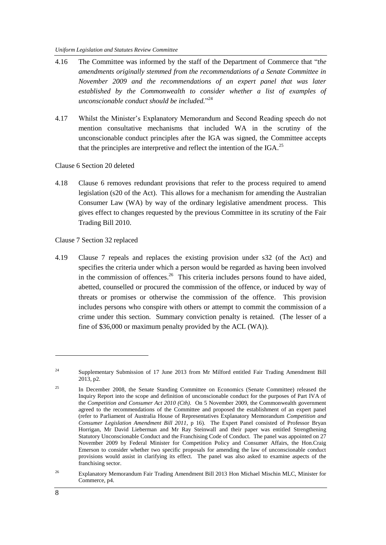- 4.16 The Committee was informed by the staff of the Department of Commerce that "*the amendments originally stemmed from the recommendations of a Senate Committee in November 2009 and the recommendations of an expert panel that was later established by the Commonwealth to consider whether a list of examples of unconscionable conduct should be included.*" 24
- 4.17 Whilst the Minister's Explanatory Memorandum and Second Reading speech do not mention consultative mechanisms that included WA in the scrutiny of the unconscionable conduct principles after the IGA was signed, the Committee accepts that the principles are interpretive and reflect the intention of the IGA.<sup>25</sup>

Clause 6 Section 20 deleted

4.18 Clause 6 removes redundant provisions that refer to the process required to amend legislation (s20 of the Act). This allows for a mechanism for amending the Australian Consumer Law (WA) by way of the ordinary legislative amendment process. This gives effect to changes requested by the previous Committee in its scrutiny of the Fair Trading Bill 2010.

Clause 7 Section 32 replaced

4.19 Clause 7 repeals and replaces the existing provision under s32 (of the Act) and specifies the criteria under which a person would be regarded as having been involved in the commission of offences.<sup>26</sup> This criteria includes persons found to have aided, abetted, counselled or procured the commission of the offence, or induced by way of threats or promises or otherwise the commission of the offence. This provision includes persons who conspire with others or attempt to commit the commission of a crime under this section. Summary conviction penalty is retained. (The lesser of a fine of \$36,000 or maximum penalty provided by the ACL (WA)).

1

<sup>&</sup>lt;sup>24</sup> Supplementary Submission of 17 June 2013 from Mr Milford entitled Fair Trading Amendment Bill 2013*,* p2.

<sup>&</sup>lt;sup>25</sup> In December 2008, the Senate Standing Committee on Economics (Senate Committee) released the Inquiry Report into the scope and definition of unconscionable conduct for the purposes of Part IVA of the *Competition and Consumer Act 2010 (Cth).* On 5 November 2009, the Commonwealth government agreed to the recommendations of the Committee and proposed the establishment of an expert panel (refer to Parliament of Australia House of Representatives Explanatory Memorandum *Competition and Consumer Legislation Amendment Bill 2011,* p 16). The Expert Panel consisted of Professor Bryan Horrigan, Mr David Lieberman and Mr Ray Steinwall and their paper was entitled Strengthening Statutory Unconscionable Conduct and the Franchising Code of Conduct. The panel was appointed on 27 November 2009 by Federal Minister for Competition Policy and Consumer Affairs, the Hon.Craig Emerson to consider whether two specific proposals for amending the law of unconscionable conduct provisions would assist in clarifying its effect. The panel was also asked to examine aspects of the franchising sector.

<sup>&</sup>lt;sup>26</sup> Explanatory Memorandum Fair Trading Amendment Bill 2013 Hon Michael Mischin MLC, Minister for Commerce, p4.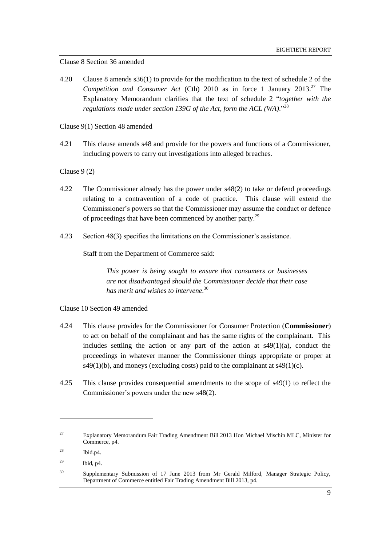#### Clause 8 Section 36 amended

4.20 Clause 8 amends s36(1) to provide for the modification to the text of schedule 2 of the *Competition and Consumer Act* (Cth) 2010 as in force 1 January 2013. <sup>27</sup> The Explanatory Memorandum clarifies that the text of schedule 2 "*together with the regulations made under section 139G of the Act, form the ACL (WA)*."<sup>28</sup>

Clause 9(1) Section 48 amended

4.21 This clause amends s48 and provide for the powers and functions of a Commissioner, including powers to carry out investigations into alleged breaches.

Clause 9 (2)

- 4.22 The Commissioner already has the power under s48(2) to take or defend proceedings relating to a contravention of a code of practice. This clause will extend the Commissioner's powers so that the Commissioner may assume the conduct or defence of proceedings that have been commenced by another party.<sup>29</sup>
- 4.23 Section 48(3) specifies the limitations on the Commissioner's assistance.

Staff from the Department of Commerce said:

*This power is being sought to ensure that consumers or businesses are not disadvantaged should the Commissioner decide that their case has merit and wishes to intervene.* 30

Clause 10 Section 49 amended

- 4.24 This clause provides for the Commissioner for Consumer Protection (**Commissioner**) to act on behalf of the complainant and has the same rights of the complainant. This includes settling the action or any part of the action at  $s49(1)(a)$ , conduct the proceedings in whatever manner the Commissioner things appropriate or proper at  $s49(1)(b)$ , and moneys (excluding costs) paid to the complainant at  $s49(1)(c)$ .
- 4.25 This clause provides consequential amendments to the scope of s49(1) to reflect the Commissioner's powers under the new s48(2).

<sup>&</sup>lt;sup>27</sup> Explanatory Memorandum Fair Trading Amendment Bill 2013 Hon Michael Mischin MLC, Minister for Commerce, p4.

<sup>28</sup> Ibid.p4.

<sup>29</sup> Ibid, p4.

<sup>&</sup>lt;sup>30</sup> Supplementary Submission of 17 June 2013 from Mr Gerald Milford, Manager Strategic Policy, Department of Commerce entitled Fair Trading Amendment Bill 2013*,* p4.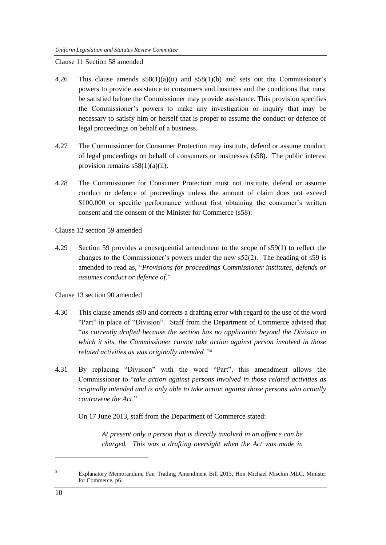Clause 11 Section 58 amended

- 4.26 This clause amends  $58(1)(a)(ii)$  and  $58(1)(b)$  and sets out the Commissioner's powers to provide assistance to consumers and business and the conditions that must be satisfied before the Commissioner may provide assistance. This provision specifies the Commissioner's powers to make any investigation or inquiry that may be necessary to satisfy him or herself that is proper to assume the conduct or defence of legal proceedings on behalf of a business.
- 4.27 The Commissioner for Consumer Protection may institute, defend or assume conduct of legal proceedings on behalf of consumers or businesses (s58). The public interest provision remains  $s58(1)(a)(ii)$ .
- 4.28 The Commissioner for Consumer Protection must not institute, defend or assume conduct or defence of proceedings unless the amount of claim does not exceed \$100,000 or specific performance without first obtaining the consumer's written consent and the consent of the Minister for Commerce (s58).

Clause 12 section 59 amended

4.29 Section 59 provides a consequential amendment to the scope of s59(1) to reflect the changes to the Commissioner's powers under the new s52(2). The heading of s59 is amended to read as, "*Provisions for proceedings Commissioner institutes, defends or assumes conduct or defence of.*"

Clause 13 section 90 amended

- 4.30 This clause amends s90 and corrects a drafting error with regard to the use of the word "Part" in place of "Division". Staff from the Department of Commerce advised that "*as currently drafted because the section has no application beyond the Division in which it sits, the Commissioner cannot take action against person involved in those related activities as was originally intended."*<sup>31</sup>
- 4.31 By replacing "Division" with the word "Part", this amendment allows the Commissioner to "*take action against persons involved in those related activities as originally intended and is only able to take action against those persons who actually contravene the Act*."

On 17 June 2013, staff from the Department of Commerce stated:

*At present only a person that is directly involved in an offence can be charged. This was a drafting oversight when the Act was made in* 

1

<sup>&</sup>lt;sup>31</sup> Explanatory Memorandum, Fair Trading Amendment Bill 2013, Hon Michael Mischin MLC, Minister for Commerce, p6.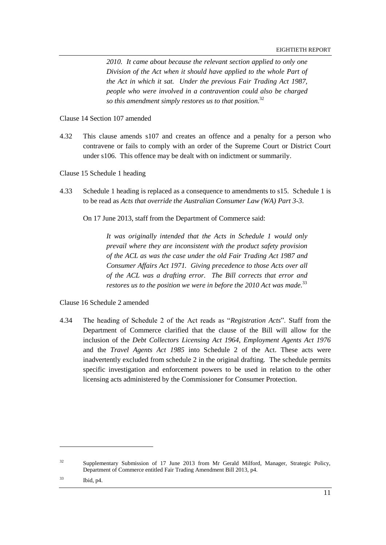EIGHTIETH REPORT

*2010. It came about because the relevant section applied to only one Division of the Act when it should have applied to the whole Part of the Act in which it sat. Under the previous Fair Trading Act 1987, people who were involved in a contravention could also be charged so this amendment simply restores us to that position.* 32

Clause 14 Section 107 amended

4.32 This clause amends s107 and creates an offence and a penalty for a person who contravene or fails to comply with an order of the Supreme Court or District Court under s106. This offence may be dealt with on indictment or summarily.

Clause 15 Schedule 1 heading

4.33 Schedule 1 heading is replaced as a consequence to amendments to s15. Schedule 1 is to be read as *Acts that override the Australian Consumer Law (WA) Part 3-3*.

On 17 June 2013, staff from the Department of Commerce said:

*It was originally intended that the Acts in Schedule 1 would only prevail where they are inconsistent with the product safety provision of the ACL as was the case under the old Fair Trading Act 1987 and Consumer Affairs Act 1971. Giving precedence to those Acts over all of the ACL was a drafting error. The Bill corrects that error and restores us to the position we were in before the 2010 Act was made.* 33

Clause 16 Schedule 2 amended

4.34 The heading of Schedule 2 of the Act reads as "*Registration Acts*". Staff from the Department of Commerce clarified that the clause of the Bill will allow for the inclusion of the *Debt Collectors Licensing Act 1964, Employment Agents Act 1976* and the *Travel Agents Act 1985* into Schedule 2 of the Act. These acts were inadvertently excluded from schedule 2 in the original drafting. The schedule permits specific investigation and enforcement powers to be used in relation to the other licensing acts administered by the Commissioner for Consumer Protection.

<sup>&</sup>lt;sup>32</sup> Supplementary Submission of 17 June 2013 from Mr Gerald Milford, Manager, Strategic Policy, Department of Commerce entitled Fair Trading Amendment Bill 2013*,* p4.

<sup>33</sup> Ibid, p4.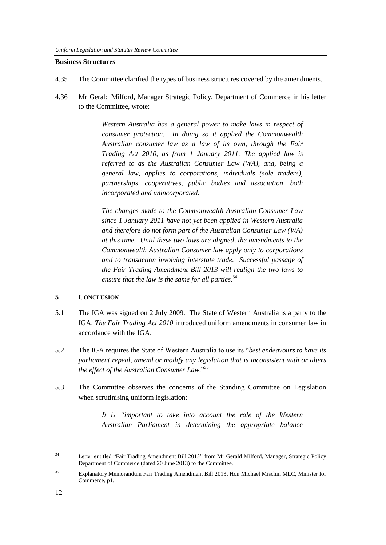#### **Business Structures**

- 4.35 The Committee clarified the types of business structures covered by the amendments.
- 4.36 Mr Gerald Milford, Manager Strategic Policy, Department of Commerce in his letter to the Committee, wrote:

*Western Australia has a general power to make laws in respect of consumer protection. In doing so it applied the Commonwealth Australian consumer law as a law of its own, through the Fair Trading Act 2010, as from 1 January 2011. The applied law is referred to as the Australian Consumer Law (WA), and, being a general law, applies to corporations, individuals (sole traders), partnerships, cooperatives, public bodies and association, both incorporated and unincorporated.*

*The changes made to the Commonwealth Australian Consumer Law since 1 January 2011 have not yet been applied in Western Australia and therefore do not form part of the Australian Consumer Law (WA) at this time. Until these two laws are aligned, the amendments to the Commonwealth Australian Consumer law apply only to corporations and to transaction involving interstate trade. Successful passage of the Fair Trading Amendment Bill 2013 will realign the two laws to ensure that the law is the same for all parties.*<sup>34</sup>

#### **5 CONCLUSION**

- 5.1 The IGA was signed on 2 July 2009. The State of Western Australia is a party to the IGA. *The Fair Trading Act 2010* introduced uniform amendments in consumer law in accordance with the IGA.
- 5.2 The IGA requires the State of Western Australia to use its "*best endeavours to have its parliament repeal, amend or modify any legislation that is inconsistent with or alters the effect of the Australian Consumer Law.*" 35
- 5.3 The Committee observes the concerns of the Standing Committee on Legislation when scrutinising uniform legislation:

*It is "important to take into account the role of the Western Australian Parliament in determining the appropriate balance* 

**.** 

<sup>34</sup> Letter entitled "Fair Trading Amendment Bill 2013" from Mr Gerald Milford, Manager, Strategic Policy Department of Commerce (dated 20 June 2013) to the Committee.

<sup>35</sup> Explanatory Memorandum Fair Trading Amendment Bill 2013, Hon Michael Mischin MLC, Minister for Commerce, p1.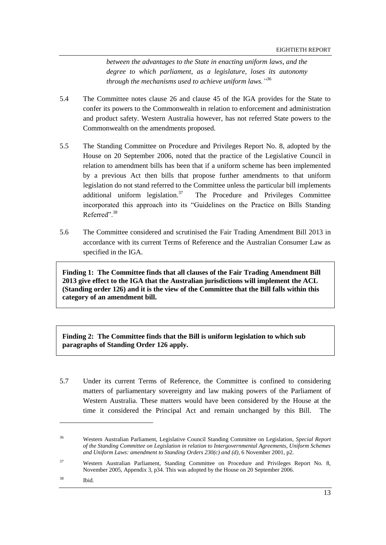*between the advantages to the State in enacting uniform laws, and the degree to which parliament, as a legislature, loses its autonomy through the mechanisms used to achieve uniform laws."*<sup>36</sup>

- 5.4 The Committee notes clause 26 and clause 45 of the IGA provides for the State to confer its powers to the Commonwealth in relation to enforcement and administration and product safety. Western Australia however, has not referred State powers to the Commonwealth on the amendments proposed.
- 5.5 The Standing Committee on Procedure and Privileges Report No. 8, adopted by the House on 20 September 2006, noted that the practice of the Legislative Council in relation to amendment bills has been that if a uniform scheme has been implemented by a previous Act then bills that propose further amendments to that uniform legislation do not stand referred to the Committee unless the particular bill implements additional uniform legislation.<sup>37</sup> The Procedure and Privileges Committee incorporated this approach into its "Guidelines on the Practice on Bills Standing Referred"<sup>38</sup>
- 5.6 The Committee considered and scrutinised the Fair Trading Amendment Bill 2013 in accordance with its current Terms of Reference and the Australian Consumer Law as specified in the IGA.

**Finding 1: The Committee finds that all clauses of the Fair Trading Amendment Bill 2013 give effect to the IGA that the Australian jurisdictions will implement the ACL (Standing order 126) and it is the view of the Committee that the Bill falls within this category of an amendment bill.**

**Finding 2: The Committee finds that the Bill is uniform legislation to which sub paragraphs of Standing Order 126 apply.**

5.7 Under its current Terms of Reference, the Committee is confined to considering matters of parliamentary sovereignty and law making powers of the Parliament of Western Australia. These matters would have been considered by the House at the time it considered the Principal Act and remain unchanged by this Bill. The

<sup>36</sup> Western Australian Parliament, Legislative Council Standing Committee on Legislation, *Special Report of the Standing Committee on Legislation in relation to Intergovernmental Agreements, Uniform Schemes and Uniform Laws: amendment to Standing Orders 230(c) and (d)*, 6 November 2001, p2.

<sup>37</sup> Western Australian Parliament, Standing Committee on Procedure and Privileges Report No. 8, November 2005, Appendix 3, p34. This was adopted by the House on 20 September 2006.

<sup>38</sup> Ibid.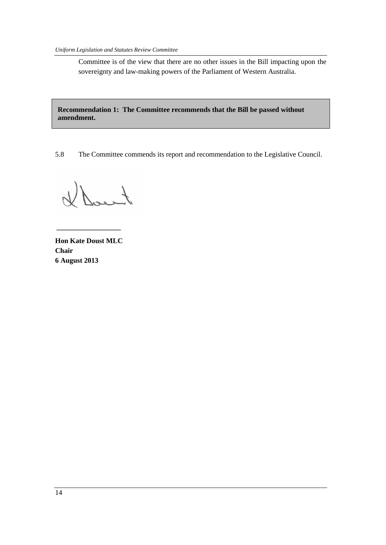Committee is of the view that there are no other issues in the Bill impacting upon the sovereignty and law-making powers of the Parliament of Western Australia.

**Recommendation 1: The Committee recommends that the Bill be passed without amendment.**

5.8 The Committee commends its report and recommendation to the Legislative Council.

Dacit

**Hon Kate Doust MLC Chair 6 August 2013**

**\_\_\_\_\_\_\_\_\_\_\_\_\_\_\_\_\_\_**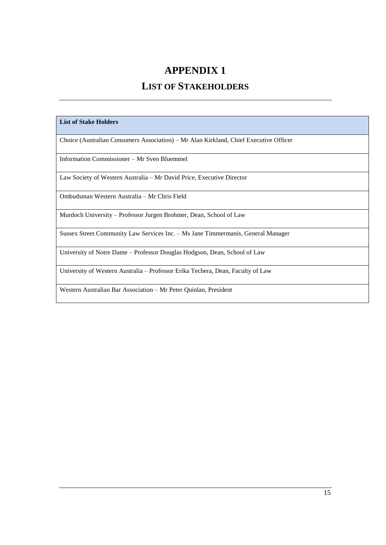### **APPENDIX 1**

## **LIST OF STAKEHOLDERS**

#### **List of Stake Holders**

Choice (Australian Consumers Association) – Mr Alan Kirkland, Chief Executive Officer

Information Commissioner – Mr Sven Bluemmel

Law Society of Western Australia – Mr David Price, Executive Director

Ombudsman Western Australia – Mr Chris Field

Murdoch University – Professor Jurgen Brohmer, Dean, School of Law

Sussex Street Community Law Services Inc. – Ms Jane Timmermanis, General Manager

University of Notre Dame – Professor Douglas Hodgson, Dean, School of Law

University of Western Australia – Professor Erika Techera, Dean, Faculty of Law

Western Australian Bar Association – Mr Peter Quinlan, President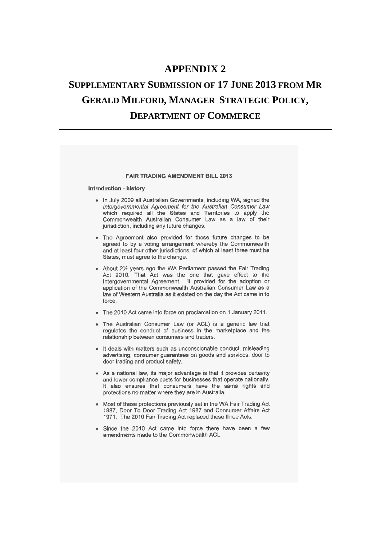### **APPENDIX 2**

# **SUPPLEMENTARY SUBMISSION OF 17 JUNE 2013 FROM MR GERALD MILFORD, MANAGER STRATEGIC POLICY, DEPARTMENT OF COMMERCE**

#### **FAIR TRADING AMENDMENT BILL 2013**

#### Introduction - history

- . In July 2009 all Australian Governments, including WA, signed the Intergovernmental Agreement for the Australian Consumer Law which required all the States and Territories to apply the Commonwealth Australian Consumer Law as a law of their jurisdiction, including any future changes.
- The Agreement also provided for those future changes to be agreed to by a voting arrangement whereby the Commonwealth and at least four other jurisdictions, of which at least three must be States, must agree to the change.
- About 21/2 years ago the WA Parliament passed the Fair Trading Act 2010. That Act was the one that gave effect to the Intergovernmental Agreement. It provided for the adoption or application of the Commonwealth Australian Consumer Law as a law of Western Australia as it existed on the day the Act came in to force
- The 2010 Act came into force on proclamation on 1 January 2011.
- . The Australian Consumer Law (or ACL) is a generic law that regulates the conduct of business in the marketplace and the relationship between consumers and traders.
- It deals with matters such as unconscionable conduct, misleading advertising, consumer guarantees on goods and services, door to door trading and product safety.
- As a national law, its major advantage is that it provides certainty and lower compliance costs for businesses that operate nationally. It also ensures that consumers have the same rights and protections no matter where they are in Australia.
- Most of these protections previously sat in the WA Fair Trading Act 1987, Door To Door Trading Act 1987 and Consumer Affairs Act 1971. The 2010 Fair Trading Act replaced these three Acts.
- Since the 2010 Act came into force there have been a few amendments made to the Commonwealth ACL.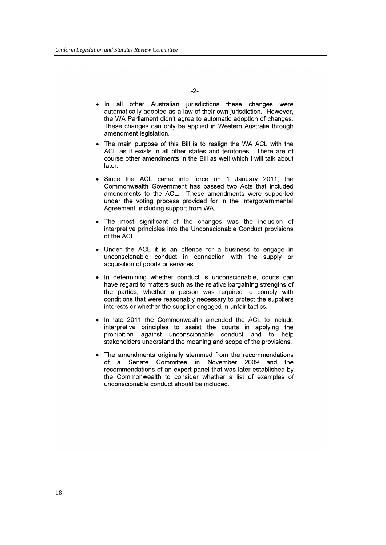$-2-$ 

- In all other Australian jurisdictions these changes were automatically adopted as a law of their own jurisdiction. However, the WA Parliament didn't agree to automatic adoption of changes. These changes can only be applied in Western Australia through amendment legislation.
- The main purpose of this Bill is to realign the WA ACL with the ACL as it exists in all other states and territories. There are of course other amendments in the Bill as well which I will talk about later.
- Since the ACL came into force on 1 January 2011, the Commonwealth Government has passed two Acts that included amendments to the ACL. These amendments were supported under the voting process provided for in the Intergovernmental Agreement, including support from WA.
- The most significant of the changes was the inclusion of interpretive principles into the Unconscionable Conduct provisions of the ACL.
- Under the ACL it is an offence for a business to engage in unconscionable conduct in connection with the supply or acquisition of goods or services.
- In determining whether conduct is unconscionable, courts can have regard to matters such as the relative bargaining strengths of the parties, whether a person was required to comply with conditions that were reasonably necessary to protect the suppliers interests or whether the supplier engaged in unfair tactics.
- In late 2011 the Commonwealth amended the ACL to include interpretive principles to assist the courts in applying the prohibition against unconscionable conduct and to help stakeholders understand the meaning and scope of the provisions.
- The amendments originally stemmed from the recommendations of a Senate Committee in November 2009 and the recommendations of an expert panel that was later established by the Commonwealth to consider whether a list of examples of unconscionable conduct should be included.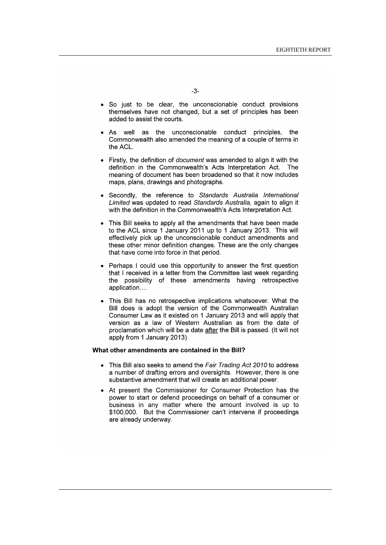- So just to be clear, the unconscionable conduct provisions themselves have not changed, but a set of principles has been added to assist the courts.
- As well as the unconscionable conduct principles, the Commonwealth also amended the meaning of a couple of terms in the ACI
- Firstly, the definition of *document* was amended to align it with the definition in the Commonwealth's Acts Interpretation Act. The meaning of document has been broadened so that it now includes maps, plans, drawings and photographs.
- Secondly, the reference to Standards Australia International Limited was updated to read Standards Australia, again to align it with the definition in the Commonwealth's Acts Interpretation Act.
- This Bill seeks to apply all the amendments that have been made to the ACL since 1 January 2011 up to 1 January 2013. This will effectively pick up the unconscionable conduct amendments and these other minor definition changes. These are the only changes that have come into force in that period.
- Perhaps I could use this opportunity to answer the first question that I received in a letter from the Committee last week regarding the possibility of these amendments having retrospective application....
- This Bill has no retrospective implications whatsoever. What the Bill does is adopt the version of the Commonwealth Australian Consumer Law as it existed on 1 January 2013 and will apply that version as a law of Western Australian as from the date of proclamation which will be a date after the Bill is passed. (It will not apply from 1 January 2013)

#### What other amendments are contained in the Bill?

- This Bill also seeks to amend the Fair Trading Act 2010 to address a number of drafting errors and oversights. However, there is one substantive amendment that will create an additional power.
- At present the Commissioner for Consumer Protection has the power to start or defend proceedings on behalf of a consumer or business in any matter where the amount involved is up to \$100,000. But the Commissioner can't intervene if proceedings are already underway.